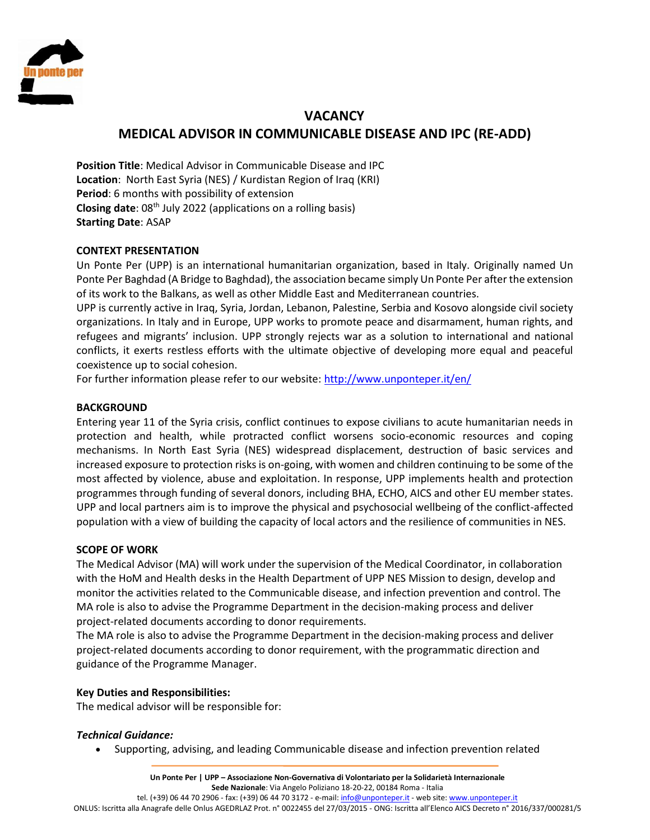

# **VACANCY MEDICAL ADVISOR IN COMMUNICABLE DISEASE AND IPC (RE-ADD)**

**Position Title**: Medical Advisor in Communicable Disease and IPC **Location**: North East Syria (NES) / Kurdistan Region of Iraq (KRI) **Period**: 6 months with possibility of extension **Closing date**: 08th July 2022 (applications on a rolling basis) **Starting Date**: ASAP

# **CONTEXT PRESENTATION**

Un Ponte Per (UPP) is an international humanitarian organization, based in Italy. Originally named Un Ponte Per Baghdad (A Bridge to Baghdad), the association became simply Un Ponte Per after the extension of its work to the Balkans, as well as other Middle East and Mediterranean countries.

UPP is currently active in Iraq, Syria, Jordan, Lebanon, Palestine, Serbia and Kosovo alongside civil society organizations. In Italy and in Europe, UPP works to promote peace and disarmament, human rights, and refugees and migrants' inclusion. UPP strongly rejects war as a solution to international and national conflicts, it exerts restless efforts with the ultimate objective of developing more equal and peaceful coexistence up to social cohesion.

For further information please refer to our website:<http://www.unponteper.it/en/>

## **BACKGROUND**

Entering year 11 of the Syria crisis, conflict continues to expose civilians to acute humanitarian needs in protection and health, while protracted conflict worsens socio-economic resources and coping mechanisms. In North East Syria (NES) widespread displacement, destruction of basic services and increased exposure to protection risks is on-going, with women and children continuing to be some of the most affected by violence, abuse and exploitation. In response, UPP implements health and protection programmes through funding of several donors, including BHA, ECHO, AICS and other EU member states. UPP and local partners aim is to improve the physical and psychosocial wellbeing of the conflict-affected population with a view of building the capacity of local actors and the resilience of communities in NES.

#### **SCOPE OF WORK**

The Medical Advisor (MA) will work under the supervision of the Medical Coordinator, in collaboration with the HoM and Health desks in the Health Department of UPP NES Mission to design, develop and monitor the activities related to the Communicable disease, and infection prevention and control. The MA role is also to advise the Programme Department in the decision-making process and deliver project-related documents according to donor requirements.

The MA role is also to advise the Programme Department in the decision-making process and deliver project-related documents according to donor requirement, with the programmatic direction and guidance of the Programme Manager.

# **Key Duties and Responsibilities:**

The medical advisor will be responsible for:

#### *Technical Guidance:*

Supporting, advising, and leading Communicable disease and infection prevention related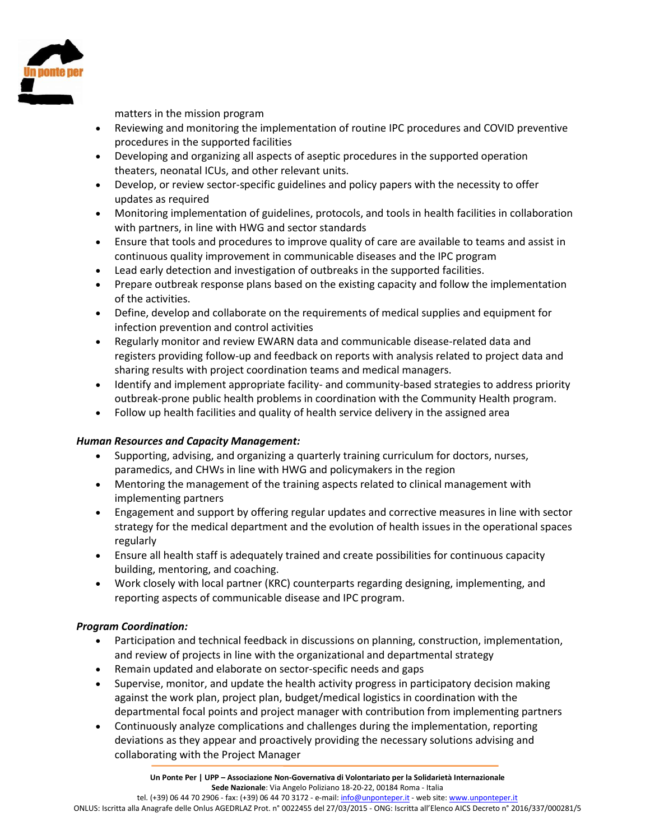

matters in the mission program

- Reviewing and monitoring the implementation of routine IPC procedures and COVID preventive procedures in the supported facilities
- Developing and organizing all aspects of aseptic procedures in the supported operation theaters, neonatal ICUs, and other relevant units.
- Develop, or review sector-specific guidelines and policy papers with the necessity to offer updates as required
- Monitoring implementation of guidelines, protocols, and tools in health facilities in collaboration with partners, in line with HWG and sector standards
- Ensure that tools and procedures to improve quality of care are available to teams and assist in continuous quality improvement in communicable diseases and the IPC program
- Lead early detection and investigation of outbreaks in the supported facilities.
- Prepare outbreak response plans based on the existing capacity and follow the implementation of the activities.
- Define, develop and collaborate on the requirements of medical supplies and equipment for infection prevention and control activities
- Regularly monitor and review EWARN data and communicable disease-related data and registers providing follow-up and feedback on reports with analysis related to project data and sharing results with project coordination teams and medical managers.
- Identify and implement appropriate facility- and community-based strategies to address priority outbreak-prone public health problems in coordination with the Community Health program.
- Follow up health facilities and quality of health service delivery in the assigned area

# *Human Resources and Capacity Management:*

- Supporting, advising, and organizing a quarterly training curriculum for doctors, nurses, paramedics, and CHWs in line with HWG and policymakers in the region
- Mentoring the management of the training aspects related to clinical management with implementing partners
- Engagement and support by offering regular updates and corrective measures in line with sector strategy for the medical department and the evolution of health issues in the operational spaces regularly
- Ensure all health staff is adequately trained and create possibilities for continuous capacity building, mentoring, and coaching.
- Work closely with local partner (KRC) counterparts regarding designing, implementing, and reporting aspects of communicable disease and IPC program.

# *Program Coordination:*

- Participation and technical feedback in discussions on planning, construction, implementation, and review of projects in line with the organizational and departmental strategy
- Remain updated and elaborate on sector-specific needs and gaps
- Supervise, monitor, and update the health activity progress in participatory decision making against the work plan, project plan, budget/medical logistics in coordination with the departmental focal points and project manager with contribution from implementing partners
- Continuously analyze complications and challenges during the implementation, reporting deviations as they appear and proactively providing the necessary solutions advising and collaborating with the Project Manager

tel. (+39) 06 44 70 2906 - fax: (+39) 06 44 70 3172 - e-mail[: info@unponteper.it](mailto:info@unponteper.it) - web site[: www.unponteper.it](http://www.unponteper.it/) ONLUS: Iscritta alla Anagrafe delle Onlus AGEDRLAZ Prot. n° 0022455 del 27/03/2015 - ONG: Iscritta all'Elenco AICS Decreto n° 2016/337/000281/5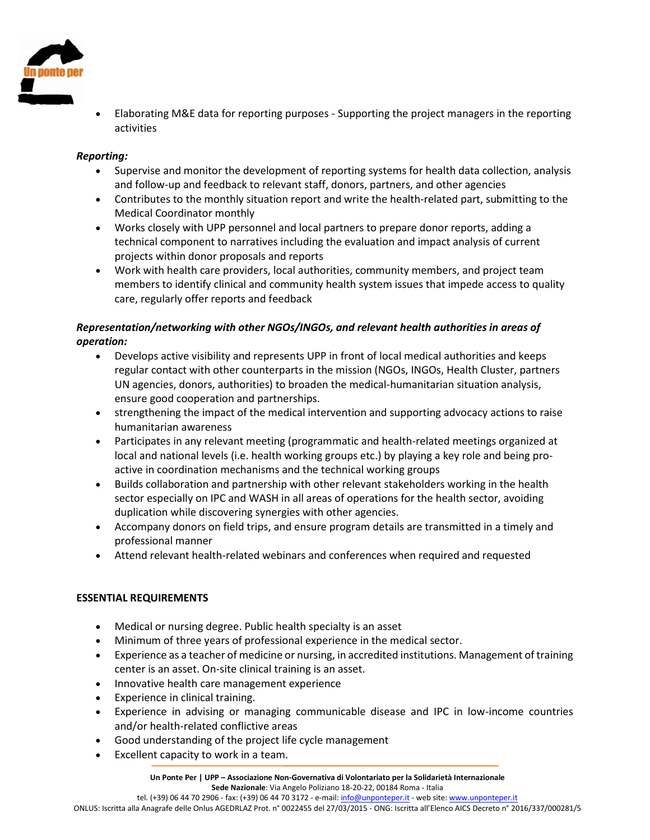

 Elaborating M&E data for reporting purposes - Supporting the project managers in the reporting activities

# *Reporting:*

- Supervise and monitor the development of reporting systems for health data collection, analysis and follow-up and feedback to relevant staff, donors, partners, and other agencies
- Contributes to the monthly situation report and write the health-related part, submitting to the Medical Coordinator monthly
- Works closely with UPP personnel and local partners to prepare donor reports, adding a technical component to narratives including the evaluation and impact analysis of current projects within donor proposals and reports
- Work with health care providers, local authorities, community members, and project team members to identify clinical and community health system issues that impede access to quality care, regularly offer reports and feedback

# *Representation/networking with other NGOs/INGOs, and relevant health authorities in areas of operation:*

- Develops active visibility and represents UPP in front of local medical authorities and keeps regular contact with other counterparts in the mission (NGOs, INGOs, Health Cluster, partners UN agencies, donors, authorities) to broaden the medical-humanitarian situation analysis, ensure good cooperation and partnerships.
- strengthening the impact of the medical intervention and supporting advocacy actions to raise humanitarian awareness
- Participates in any relevant meeting (programmatic and health-related meetings organized at local and national levels (i.e. health working groups etc.) by playing a key role and being proactive in coordination mechanisms and the technical working groups
- Builds collaboration and partnership with other relevant stakeholders working in the health sector especially on IPC and WASH in all areas of operations for the health sector, avoiding duplication while discovering synergies with other agencies.
- Accompany donors on field trips, and ensure program details are transmitted in a timely and professional manner
- Attend relevant health-related webinars and conferences when required and requested

# **ESSENTIAL REQUIREMENTS**

- Medical or nursing degree. Public health specialty is an asset
- Minimum of three years of professional experience in the medical sector.
- Experience as a teacher of medicine or nursing, in accredited institutions. Management of training center is an asset. On-site clinical training is an asset.
- Innovative health care management experience
- Experience in clinical training.
- Experience in advising or managing communicable disease and IPC in low-income countries and/or health-related conflictive areas
- Good understanding of the project life cycle management
- Excellent capacity to work in a team.

ONLUS: Iscritta alla Anagrafe delle Onlus AGEDRLAZ Prot. n° 0022455 del 27/03/2015 - ONG: Iscritta all'Elenco AICS Decreto n° 2016/337/000281/5